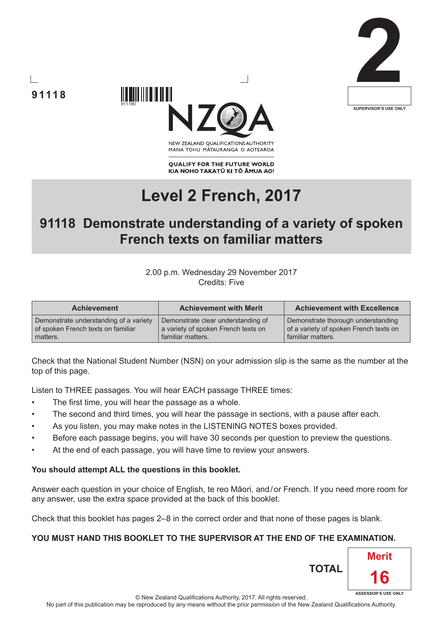





NEW ZEALAND OUALIFICATIONS AUTHORITY MANA TOHU MATAURANGA O AOTEAROA

**QUALIFY FOR THE FUTURE WORLD** KIA NOHO TAKATŪ KI TŌ ĀMUA AO!

# **Level 2 French, 2017**

# **91118 Demonstrate understanding of a variety of spoken French texts on familiar matters**

#### 2.00 p.m. Wednesday 29 November 2017 Credits: Five

| <b>Achievement</b>                     | <b>Achievement with Merit</b>       | <b>Achievement with Excellence</b>     |
|----------------------------------------|-------------------------------------|----------------------------------------|
| Demonstrate understanding of a variety | Demonstrate clear understanding of  | Demonstrate thorough understanding     |
| of spoken French texts on familiar     | a variety of spoken French texts on | of a variety of spoken French texts on |
| matters.                               | familiar matters.                   | familiar matters.                      |

Check that the National Student Number (NSN) on your admission slip is the same as the number at the top of this page.

Listen to THREE passages. You will hear EACH passage THREE times:

- The first time, you will hear the passage as a whole.
- The second and third times, you will hear the passage in sections, with a pause after each.
- As you listen, you may make notes in the LISTENING NOTES boxes provided.
- Before each passage begins, you will have 30 seconds per question to preview the questions.
- At the end of each passage, you will have time to review your answers.

### **You should attempt ALL the questions in this booklet.**

Answer each question in your choice of English, te reo Māori, and/or French. If you need more room for any answer, use the extra space provided at the back of this booklet.

Check that this booklet has pages 2–8 in the correct order and that none of these pages is blank.

# **YOU MUST HAND THIS BOOKLET TO THE SUPERVISOR AT THE END OF THE EXAMINATION.**

© New Zealand Qualifications Authority, 2017. All rights reserved. No part of this publication may be reproduced by any means without the prior permission of the New Zealand Qualifications Authority. **ASSESSOR'S USE ONLY**

**TOTAL**

**Merit**

**16**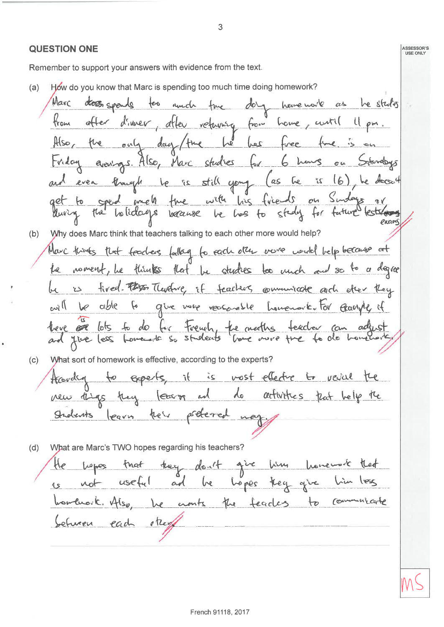ASSESSOR'S<br>USE ONLY **QUESTION ONE** Remember to support your answers with evidence from the text. How do you know that Marc is spending too much time doing homework?  $(a)$ Marc dory have note as he study closs spends  $\epsilon$ amon twe trom  $a$ ffer d'inner, after returning from home, curtil 4 pm. day / the he has Also, the only fine is on triday avenings. Also, Marc studies ou Strudays for 6 hours and even though to is still yough (as the is 16), he doesn't<br>get to speed much three with his finels on Sindays or exams Why does Marc think that teachers talking to each other more would help?  $(b)$ Marc trimts that fourless falley for each other work would belp because at Le noment, Le thinks that be studies too unch and so to a degree is fixed. That Therefore, if feachers commiscate arch after they will be able to give vore reasonable homenovie. For georging of have an lots to do for Freuch, the meeths feeder can adjust What sort of homework is effective, according to the experts?  $(c)$ feardly to experts, it is most ellectre to revial the new thigs they leaver and do activities pat bely the Indents learn their preterred may  $(d)$ What are Marc's TWO hopes regarding his teachers? He was they don't give him that useful and he hopes they give him bombroik. Also, he cronts the feaches to Communicate between each streng

3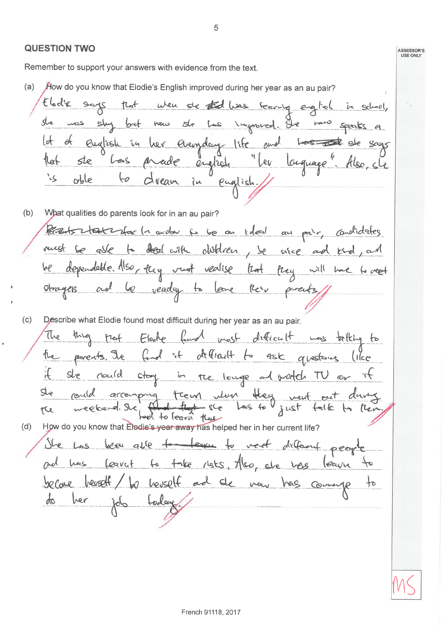#### **QUESTION TWO**

 $\phi$ 

her

Remember to support your answers with evidence from the text.

 $(a)$ How do you know that Elodie's English improved during her year as an au pair? Elodie says Wen she that has reasing english that in school, was shy ingenered. She bat now Sle عما speaks a english in her everyday life and lot  $\partial f$  $Less$ Says Levs 1lat Sle arade englich Cuquage Lev  $\alpha$ ble dream in ی` HΘ Paglish

 $(b)$ What qualities do parents look for in an au pair?

Parents states donc la avalur je le can telecit au pair, condidates to deal with district , so are and kid must be able be dependable. Also, they rust vealise that frey to creet Otragers veady to love  $\mu_{c2}$  $\varphi$  $\alpha$ el parents

Describe what Elodie found most difficult during her year as an au pair.  $(c)$ 

job today

most dificult mas talking (he Electe teof  $\downarrow$ definalt to the parents. The ask questones like  $\overline{\phantom{a}}^*$ 汇 in the longe and protect TV or  $S_{\text{ve}}$ could stay treun ulon they vent out downg She accompany rould - sce Lees to yust talk efeerd. Sie the and to leaver Key How do you know that Elodie's year away has helped her in her current life?  $(d)$ vert defannt people Las been able to <u>She</u>  $224.6$ take rists, Also, etc ves Carat Ord hers  $f^{\circ}$ leavu becare bevedt to bevelt and de vous has come

ASSESSOR'S<br>USE ONLY

 $\dag$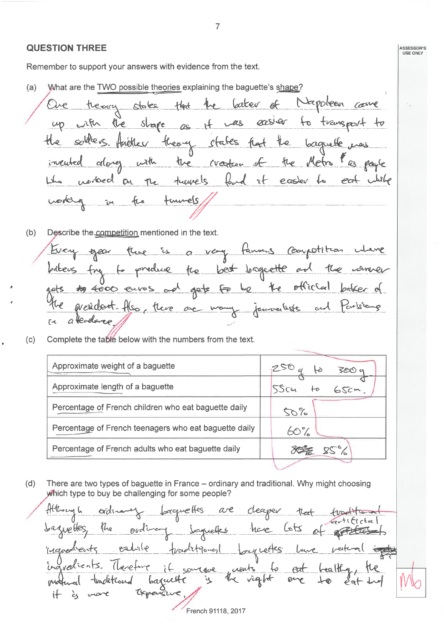#### **QUESTION THREE**

Remember to support your answers with evidence from the text.

What are the TWO possible theories explaining the baguette's shape?  $(a)$ Cater of Mapoleon come theory states that to transport stape le  $-az$ easler łυ in  $\overline{2}$ theory states had sourceve te. baguete Huotley the creation the Metro with incuted dlovey  $$ food it with norbed turnels easter to  $e$ at  $O<sub>1</sub>$ turnels ĩμ

Describe the competition mentioned in the text.  $(b)$ is a very fanners competition gear were best longvette and te odrex official gets fo **to 4000**  $E_{\mathcal{Q}}$  $\sim e^{\lambda}$ euros MesiCl© wany and  $OC$  $ra$ a leada

Complete the table below with the numbers from the text.  $(c)$ 

| Approximate weight of a baguette                      | 250 |
|-------------------------------------------------------|-----|
| Approximate length of a baguette                      |     |
| Percentage of French children who eat baguette daily  | 50% |
| Percentage of French teenagers who eat baguette daily | 60% |
| Percentage of French adults who eat baguette daily    |     |
|                                                       |     |

 $(d)$ There are two types of baguette in France - ordinary and traditional. Why might choosing which type to buy be challenging for some people?

ththowy h **L**oacque Hes  $\alpha$ e ordina deaper tleet gue Hes.  $272$ nave oudi Saqueles longuettes estrile ingredents traditioned ingvedicats.  $l_{\text{level}}$ creats soulove  $\overline{\omega}$  $\sqrt{2}q/t$ baguett ؘڮ tetcoard 0 Teper 计 French 91118, 2017

 $\overline{7}$ 

ASSESSOR'S<br>USE ONLY